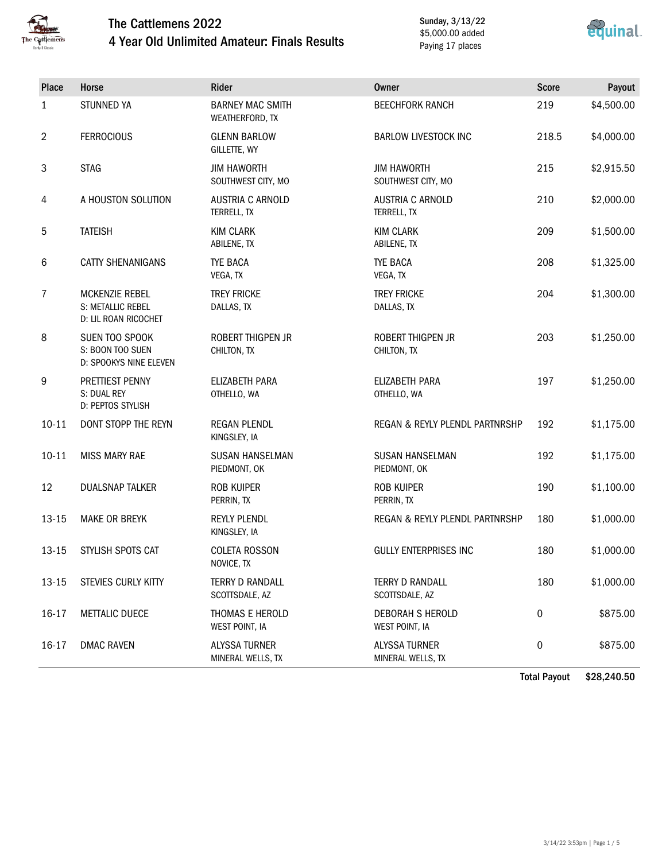

### The Cattlemens 2022 4 Year Old Unlimited Amateur: Finals Results

Sunday, 3/13/22 \$5,000.00 added Paying 17 places



| Place     | Horse                                                              | Rider                                      | Owner                                     | <b>Score</b> | Payout     |
|-----------|--------------------------------------------------------------------|--------------------------------------------|-------------------------------------------|--------------|------------|
| 1         | <b>STUNNED YA</b>                                                  | <b>BARNEY MAC SMITH</b><br>WEATHERFORD, TX | <b>BEECHFORK RANCH</b>                    | 219          | \$4,500.00 |
| 2         | <b>FERROCIOUS</b>                                                  | <b>GLENN BARLOW</b><br>GILLETTE, WY        | <b>BARLOW LIVESTOCK INC</b>               | 218.5        | \$4,000.00 |
| 3         | <b>STAG</b>                                                        | <b>JIM HAWORTH</b><br>SOUTHWEST CITY, MO   | <b>JIM HAWORTH</b><br>SOUTHWEST CITY, MO  | 215          | \$2,915.50 |
| 4         | A HOUSTON SOLUTION                                                 | <b>AUSTRIA C ARNOLD</b><br>TERRELL, TX     | <b>AUSTRIA C ARNOLD</b><br>TERRELL, TX    | 210          | \$2,000.00 |
| 5         | <b>TATEISH</b>                                                     | <b>KIM CLARK</b><br>ABILENE, TX            | <b>KIM CLARK</b><br>ABILENE, TX           | 209          | \$1,500.00 |
| 6         | <b>CATTY SHENANIGANS</b>                                           | <b>TYE BACA</b><br>VEGA, TX                | <b>TYE BACA</b><br>VEGA, TX               | 208          | \$1,325.00 |
| 7         | <b>MCKENZIE REBEL</b><br>S: METALLIC REBEL<br>D: LIL ROAN RICOCHET | <b>TREY FRICKE</b><br>DALLAS, TX           | <b>TREY FRICKE</b><br>DALLAS, TX          | 204          | \$1,300.00 |
| 8         | SUEN TOO SPOOK<br>S: BOON TOO SUEN<br>D: SPOOKYS NINE ELEVEN       | <b>ROBERT THIGPEN JR</b><br>CHILTON, TX    | ROBERT THIGPEN JR<br>CHILTON, TX          | 203          | \$1,250.00 |
| 9         | PRETTIEST PENNY<br>S: DUAL REY<br>D: PEPTOS STYLISH                | ELIZABETH PARA<br>OTHELLO, WA              | ELIZABETH PARA<br>OTHELLO, WA             | 197          | \$1,250.00 |
| $10 - 11$ | DONT STOPP THE REYN                                                | <b>REGAN PLENDL</b><br>KINGSLEY, IA        | REGAN & REYLY PLENDL PARTNRSHP            | 192          | \$1,175.00 |
| $10 - 11$ | <b>MISS MARY RAE</b>                                               | <b>SUSAN HANSELMAN</b><br>PIEDMONT, OK     | <b>SUSAN HANSELMAN</b><br>PIEDMONT, OK    | 192          | \$1,175.00 |
| 12        | <b>DUALSNAP TALKER</b>                                             | <b>ROB KUIPER</b><br>PERRIN, TX            | <b>ROB KUIPER</b><br>PERRIN, TX           | 190          | \$1,100.00 |
| $13 - 15$ | <b>MAKE OR BREYK</b>                                               | <b>REYLY PLENDL</b><br>KINGSLEY, IA        | REGAN & REYLY PLENDL PARTNRSHP            | 180          | \$1,000.00 |
| $13 - 15$ | STYLISH SPOTS CAT                                                  | <b>COLETA ROSSON</b><br>NOVICE, TX         | <b>GULLY ENTERPRISES INC</b>              | 180          | \$1,000.00 |
| 13-15     | STEVIES CURLY KITTY                                                | <b>TERRY D RANDALL</b><br>SCOTTSDALE, AZ   | <b>TERRY D RANDALL</b><br>SCOTTSDALE, AZ  | 180          | \$1,000.00 |
| 16-17     | <b>METTALIC DUECE</b>                                              | THOMAS E HEROLD<br>WEST POINT, IA          | DEBORAH S HEROLD<br>WEST POINT, IA        | 0            | \$875.00   |
| 16-17     | <b>DMAC RAVEN</b>                                                  | <b>ALYSSA TURNER</b><br>MINERAL WELLS, TX  | <b>ALYSSA TURNER</b><br>MINERAL WELLS, TX | 0            | \$875.00   |

Total Payout \$28,240.50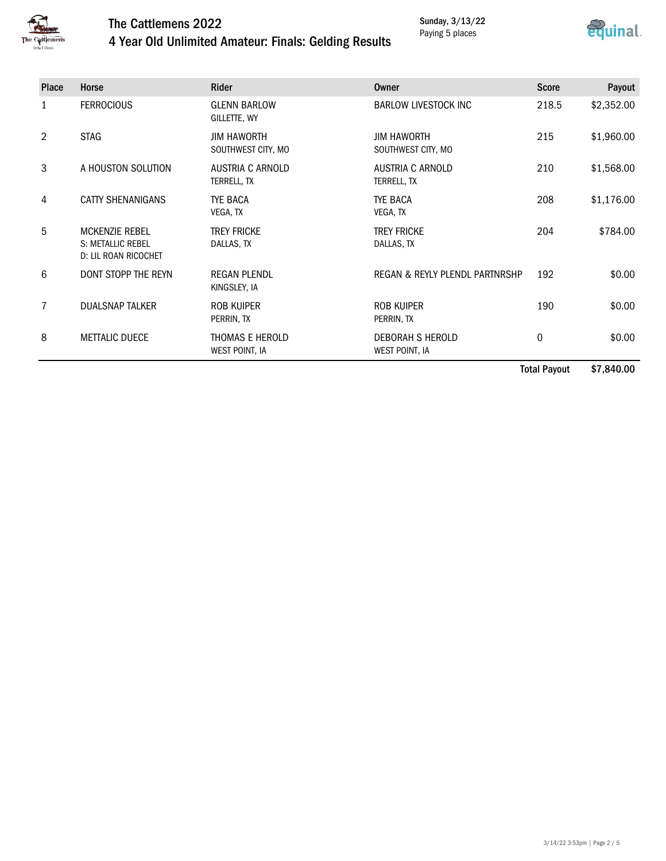

### The Cattlemens 2022

#### Sunday, 3/13/22 Paying 5 places



### 4 Year Old Unlimited Amateur: Finals: Gelding Results

| <b>Place</b> | Horse                                                                     | <b>Rider</b>                             | Owner                                     | <b>Score</b> | Payout     |
|--------------|---------------------------------------------------------------------------|------------------------------------------|-------------------------------------------|--------------|------------|
| 1            | <b>FERROCIOUS</b>                                                         | <b>GLENN BARLOW</b><br>GILLETTE, WY      | <b>BARLOW LIVESTOCK INC</b>               | 218.5        | \$2,352.00 |
| 2            | <b>STAG</b>                                                               | <b>JIM HAWORTH</b><br>SOUTHWEST CITY, MO | <b>JIM HAWORTH</b><br>SOUTHWEST CITY, MO  | 215          | \$1,960.00 |
| 3            | A HOUSTON SOLUTION                                                        | AUSTRIA C ARNOLD<br>TERRELL, TX          | AUSTRIA C ARNOLD<br>TERRELL, TX           | 210          | \$1,568.00 |
| 4            | <b>CATTY SHENANIGANS</b>                                                  | <b>TYE BACA</b><br>VEGA, TX              | <b>TYE BACA</b><br>VEGA, TX               | 208          | \$1,176.00 |
| 5            | <b>MCKENZIE REBEL</b><br><b>S: METALLIC REBEL</b><br>D: LIL ROAN RICOCHET | <b>TREY FRICKE</b><br>DALLAS, TX         | <b>TREY FRICKE</b><br>DALLAS, TX          | 204          | \$784.00   |
| 6            | DONT STOPP THE REYN                                                       | <b>REGAN PLENDL</b><br>KINGSLEY, IA      | REGAN & REYLY PLENDL PARTNRSHP            | 192          | \$0.00     |
| 7            | <b>DUALSNAP TALKER</b>                                                    | ROB KUIPER<br>PERRIN, TX                 | ROB KUIPER<br>PERRIN, TX                  | 190          | \$0.00     |
| 8            | <b>METTALIC DUECE</b>                                                     | THOMAS E HEROLD<br>WEST POINT, IA        | <b>DEBORAH S HEROLD</b><br>WEST POINT, IA | 0            | \$0.00     |
|              |                                                                           |                                          |                                           | .            | $\cdots$   |

Total Payout \$7,840.00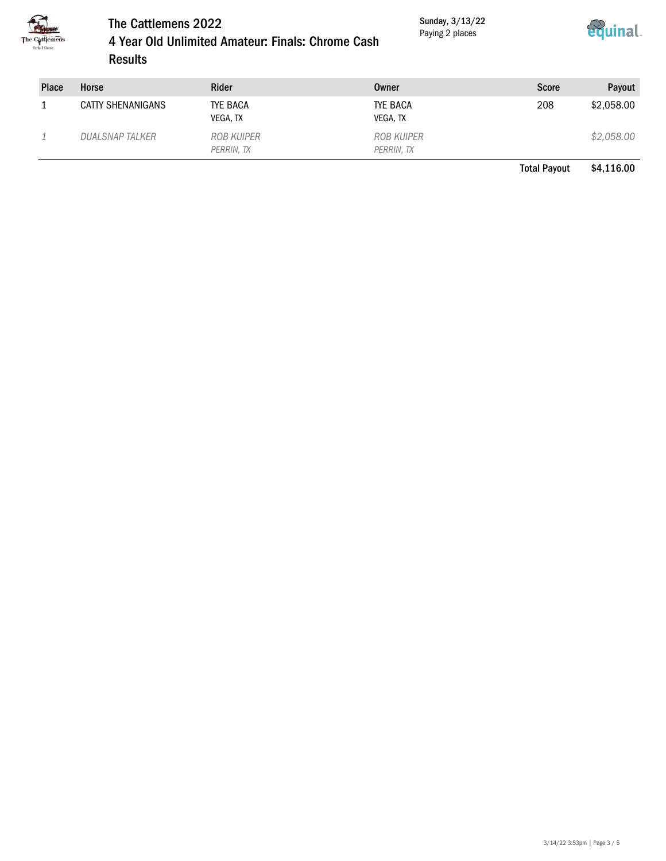

# The Cattlemens 2022

Sunday, 3/13/22 Paying 2 places



| 4 Year Old Unlimited Amateur: Finals: Chrome Cash |
|---------------------------------------------------|
| <b>Results</b>                                    |

| <b>Place</b> | <b>Horse</b>           | <b>Rider</b>             | Owner                    | <b>Score</b> | Payout     |
|--------------|------------------------|--------------------------|--------------------------|--------------|------------|
|              | CATTY SHENANIGANS      | TYE BACA<br>VEGA, TX     | TYE BACA<br>VEGA, TX     | 208          | \$2,058.00 |
|              | <b>DUALSNAP TALKER</b> | ROB KUIPER<br>PERRIN, TX | ROB KUIPER<br>PERRIN, TX |              | \$2,058.00 |

Total Payout \$4,116.00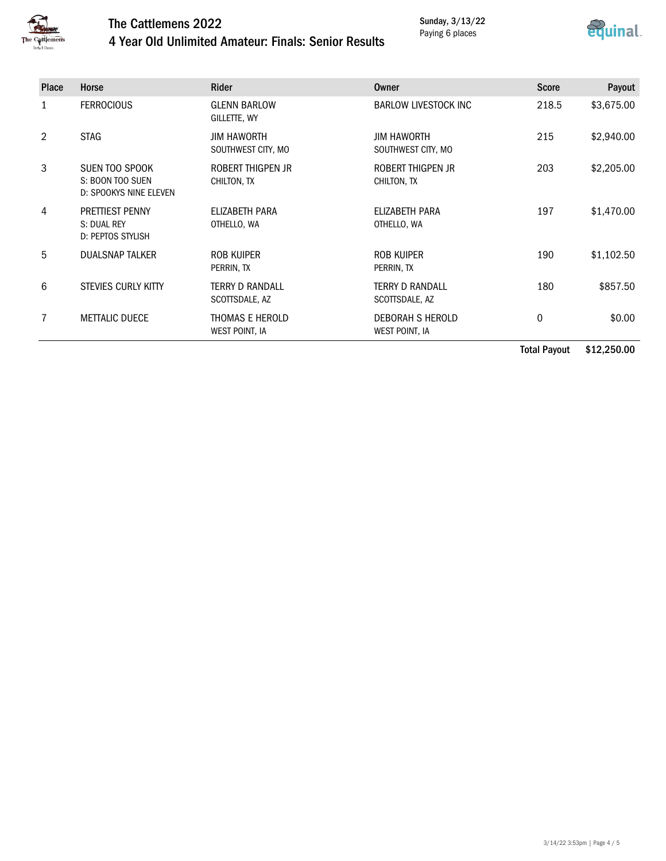

## The Cattlemens 2022

Sunday, 3/13/22 Paying 6 places



### 4 Year Old Unlimited Amateur: Finals: Senior Results

| <b>Place</b> | <b>Horse</b>                                                                  | <b>Rider</b>                             | Owner                                    | <b>Score</b> | Payout     |
|--------------|-------------------------------------------------------------------------------|------------------------------------------|------------------------------------------|--------------|------------|
| 1            | <b>FERROCIOUS</b>                                                             | <b>GLENN BARLOW</b><br>GILLETTE, WY      | <b>BARLOW LIVESTOCK INC</b>              | 218.5        | \$3,675.00 |
| 2            | <b>STAG</b><br><b>JIM HAWORTH</b><br><b>JIM HAWORTH</b><br>SOUTHWEST CITY, MO |                                          | SOUTHWEST CITY, MO                       | 215          | \$2,940.00 |
| 3            | SUEN TOO SPOOK<br>S: BOON TOO SUEN<br>D: SPOOKYS NINE ELEVEN                  | ROBERT THIGPEN JR<br>CHILTON, TX         | ROBERT THIGPEN JR<br>CHILTON, TX         | 203          | \$2,205.00 |
| 4            | <b>PRETTIEST PENNY</b><br>S: DUAL REY<br>D: PEPTOS STYLISH                    | ELIZABETH PARA<br>OTHELLO, WA            | ELIZABETH PARA<br>OTHELLO, WA            | 197          | \$1,470.00 |
| 5            | <b>DUALSNAP TALKER</b>                                                        | ROB KUIPER<br>PERRIN, TX                 | <b>ROB KUIPER</b><br>PERRIN, TX          | 190          | \$1,102.50 |
| 6            | STEVIES CURLY KITTY                                                           | <b>TERRY D RANDALL</b><br>SCOTTSDALE, AZ | <b>TERRY D RANDALL</b><br>SCOTTSDALE, AZ | 180          | \$857.50   |
|              | <b>METTALIC DUECE</b>                                                         | THOMAS E HEROLD<br>WEST POINT, IA        | DEBORAH S HEROLD<br>WEST POINT, IA       | $\mathbf 0$  | \$0.00     |
|              |                                                                               |                                          |                                          |              |            |

Total Payout \$12,250.00